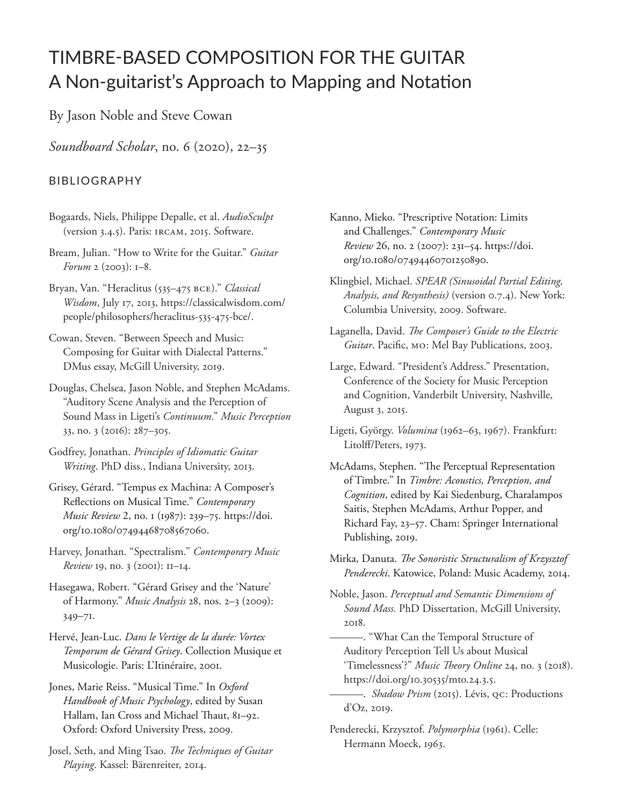## TIMBRE-BASED COMPOSITION FOR THE GUITAR A Non-guitarist's Approach to Mapping and Notation

By Jason Noble and Steve Cowan

*Soundboard Scholar*, no. 6 (2020), 22–35

## BIBLIOGRAPHY

- Bogaards, Niels, Philippe Depalle, et al. *AudioSculpt*  (version 3.4.5). Paris: IRCAM, 2015. Software.
- Bream, Julian. "How to Write for the Guitar." *Guitar Forum* 2 (2003): 1–8.
- Bryan, Van. "Heraclitus (535–475 BCE)." *Classical Wisdom*, July 17, 2013, https://classicalwisdom.com/ people/philosophers/heraclitus-535-475-bce/.
- Cowan, Steven. "Between Speech and Music: Composing for Guitar with Dialectal Patterns." DMus essay, McGill University, 2019.
- Douglas, Chelsea, Jason Noble, and Stephen McAdams. "Auditory Scene Analysis and the Perception of Sound Mass in Ligeti's *Continuum*." *Music Perception* 33, no. 3 (2016): 287–305.
- Godfrey, Jonathan. *Principles of Idiomatic Guitar Writing*. PhD diss., Indiana University, 2013.
- Grisey, Gérard. "Tempus ex Machina: A Composer's Reflections on Musical Time." *Contemporary Music Review* 2, no. 1 (1987): 239–75. https://doi. org/10.1080/07494468708567060.
- Harvey, Jonathan. "Spectralism." *Contemporary Music Review* 19, no. 3 (2001): 11–14.
- Hasegawa, Robert. "Gérard Grisey and the 'Nature' of Harmony." *Music Analysis* 28, nos. 2–3 (2009): 349–71.
- Hervé, Jean-Luc. *Dans le Vertige de la durée: Vortex Temporum de Gérard Grisey*. Collection Musique et Musicologie. Paris: L'Itinéraire, 2001.
- Jones, Marie Reiss. "Musical Time." In *Oxford Handbook of Music Psychology*, edited by Susan Hallam, Ian Cross and Michael Thaut, 81–92. Oxford: Oxford University Press, 2009.
- Josel, Seth, and Ming Tsao. *The Techniques of Guitar Playing*. Kassel: Bärenreiter, 2014.
- Kanno, Mieko. "Prescriptive Notation: Limits and Challenges." *Contemporary Music Review* 26, no. 2 (2007): 231–54. https://doi. org/10.1080/07494460701250890.
- Klingbiel, Michael. *SPEAR (Sinusoidal Partial Editing, Analysis, and Resynthesis)* (version 0.7.4). New York: Columbia University, 2009. Software.
- Laganella, David. *The Composer's Guide to the Electric Guitar*. Pacific, MO: Mel Bay Publications, 2003.
- Large, Edward. "President's Address." Presentation, Conference of the Society for Music Perception and Cognition, Vanderbilt University, Nashville, August 3, 2015.
- Ligeti, György. *Volumina* (1962–63, 1967). Frankfurt: Litolff/Peters, 1973.
- McAdams, Stephen. "The Perceptual Representation of Timbre." In *Timbre: Acoustics, Perception, and Cognition*, edited by Kai Siedenburg, Charalampos Saitis, Stephen McAdams, Arthur Popper, and Richard Fay, 23–57. Cham: Springer International Publishing, 2019.
- Mirka, Danuta. *The Sonoristic Structuralism of Krzysztof Penderecki*. Katowice, Poland: Music Academy, 2014.
- Noble, Jason. *Perceptual and Semantic Dimensions of Sound Mass.* PhD Dissertation, McGill University, 2018.
	- ———. "What Can the Temporal Structure of Auditory Perception Tell Us about Musical 'Timelessness'?" *Music Theory Online* 24, no. 3 (2018). https://doi.org/10.30535/mto.24.3.5.
	- ———. *Shadow Prism* (2015). Lévis, QC: Productions d'Oz, 2019.
- Penderecki, Krzysztof. *Polymorphia* (1961). Celle: Hermann Moeck, 1963.